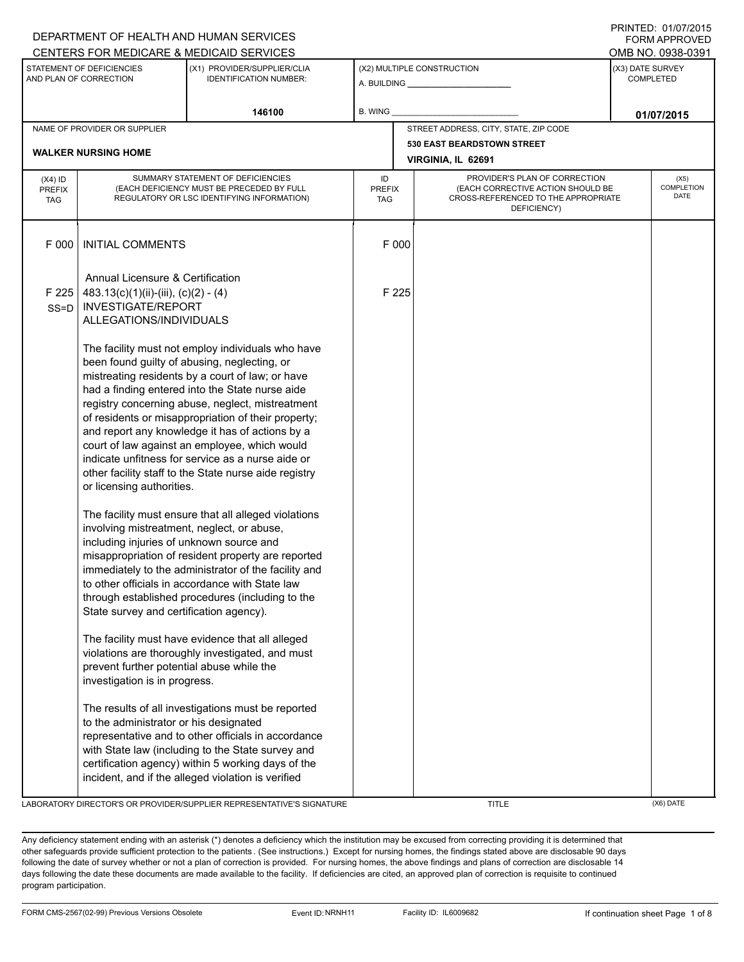|                                                                                                                     |                                                                                                                                   | DEPARTMENT OF HEALTH AND HUMAN SERVICES<br>CENTERS FOR MEDICARE & MEDICAID SERVICES                                                                                                                                                                                                                                                                                                                                                                                                                                                   |                            |                                                                                                                          |                                      | <b>FORM APPROVED</b><br>OMB NO. 0938-0391 |
|---------------------------------------------------------------------------------------------------------------------|-----------------------------------------------------------------------------------------------------------------------------------|---------------------------------------------------------------------------------------------------------------------------------------------------------------------------------------------------------------------------------------------------------------------------------------------------------------------------------------------------------------------------------------------------------------------------------------------------------------------------------------------------------------------------------------|----------------------------|--------------------------------------------------------------------------------------------------------------------------|--------------------------------------|-------------------------------------------|
| STATEMENT OF DEFICIENCIES<br>(X1) PROVIDER/SUPPLIER/CLIA<br>AND PLAN OF CORRECTION<br><b>IDENTIFICATION NUMBER:</b> |                                                                                                                                   |                                                                                                                                                                                                                                                                                                                                                                                                                                                                                                                                       | (X2) MULTIPLE CONSTRUCTION |                                                                                                                          | (X3) DATE SURVEY<br><b>COMPLETED</b> |                                           |
| 146100                                                                                                              |                                                                                                                                   | B. WING                                                                                                                                                                                                                                                                                                                                                                                                                                                                                                                               |                            | 01/07/2015                                                                                                               |                                      |                                           |
|                                                                                                                     | NAME OF PROVIDER OR SUPPLIER                                                                                                      |                                                                                                                                                                                                                                                                                                                                                                                                                                                                                                                                       |                            | STREET ADDRESS, CITY, STATE, ZIP CODE                                                                                    |                                      |                                           |
|                                                                                                                     | <b>WALKER NURSING HOME</b>                                                                                                        |                                                                                                                                                                                                                                                                                                                                                                                                                                                                                                                                       |                            | <b>530 EAST BEARDSTOWN STREET</b><br>VIRGINIA, IL 62691                                                                  |                                      |                                           |
| $(X4)$ ID<br><b>PREFIX</b><br><b>TAG</b>                                                                            | SUMMARY STATEMENT OF DEFICIENCIES<br>(EACH DEFICIENCY MUST BE PRECEDED BY FULL<br>REGULATORY OR LSC IDENTIFYING INFORMATION)      |                                                                                                                                                                                                                                                                                                                                                                                                                                                                                                                                       |                            | PROVIDER'S PLAN OF CORRECTION<br>(EACH CORRECTIVE ACTION SHOULD BE<br>CROSS-REFERENCED TO THE APPROPRIATE<br>DEFICIENCY) |                                      | (X5)<br><b>COMPLETION</b><br><b>DATE</b>  |
| F 000                                                                                                               | <b>INITIAL COMMENTS</b>                                                                                                           |                                                                                                                                                                                                                                                                                                                                                                                                                                                                                                                                       | F 000                      |                                                                                                                          |                                      |                                           |
| F 225<br>$SS = D$                                                                                                   | Annual Licensure & Certification<br>$483.13(c)(1)(ii)-(iii), (c)(2)-(4)$<br><b>INVESTIGATE/REPORT</b><br>ALLEGATIONS/INDIVIDUALS  |                                                                                                                                                                                                                                                                                                                                                                                                                                                                                                                                       | F 225                      |                                                                                                                          |                                      |                                           |
|                                                                                                                     | or licensing authorities.                                                                                                         | The facility must not employ individuals who have<br>been found guilty of abusing, neglecting, or<br>mistreating residents by a court of law; or have<br>had a finding entered into the State nurse aide<br>registry concerning abuse, neglect, mistreatment<br>of residents or misappropriation of their property;<br>and report any knowledge it has of actions by a<br>court of law against an employee, which would<br>indicate unfitness for service as a nurse aide or<br>other facility staff to the State nurse aide registry |                            |                                                                                                                          |                                      |                                           |
|                                                                                                                     | involving mistreatment, neglect, or abuse,<br>including injuries of unknown source and<br>State survey and certification agency). | The facility must ensure that all alleged violations<br>misappropriation of resident property are reported<br>immediately to the administrator of the facility and<br>to other officials in accordance with State law<br>through established procedures (including to the                                                                                                                                                                                                                                                             |                            |                                                                                                                          |                                      |                                           |
|                                                                                                                     | prevent further potential abuse while the<br>investigation is in progress.                                                        | The facility must have evidence that all alleged<br>violations are thoroughly investigated, and must                                                                                                                                                                                                                                                                                                                                                                                                                                  |                            |                                                                                                                          |                                      |                                           |
|                                                                                                                     | to the administrator or his designated                                                                                            | The results of all investigations must be reported<br>representative and to other officials in accordance<br>with State law (including to the State survey and<br>certification agency) within 5 working days of the<br>incident, and if the alleged violation is verified                                                                                                                                                                                                                                                            |                            |                                                                                                                          |                                      |                                           |

LABORATORY DIRECTOR'S OR PROVIDER/SUPPLIER REPRESENTATIVE'S SIGNATURE THE TITLE THE TITLE (X6) DATE

DEPARTMENT OF HEALTH AND HUMAN SERVICES

PRINTED: 01/07/2015

Any deficiency statement ending with an asterisk (\*) denotes a deficiency which the institution may be excused from correcting providing it is determined that other safeguards provide sufficient protection to the patients . (See instructions.) Except for nursing homes, the findings stated above are disclosable 90 days following the date of survey whether or not a plan of correction is provided. For nursing homes, the above findings and plans of correction are disclosable 14 days following the date these documents are made available to the facility. If deficiencies are cited, an approved plan of correction is requisite to continued program participation.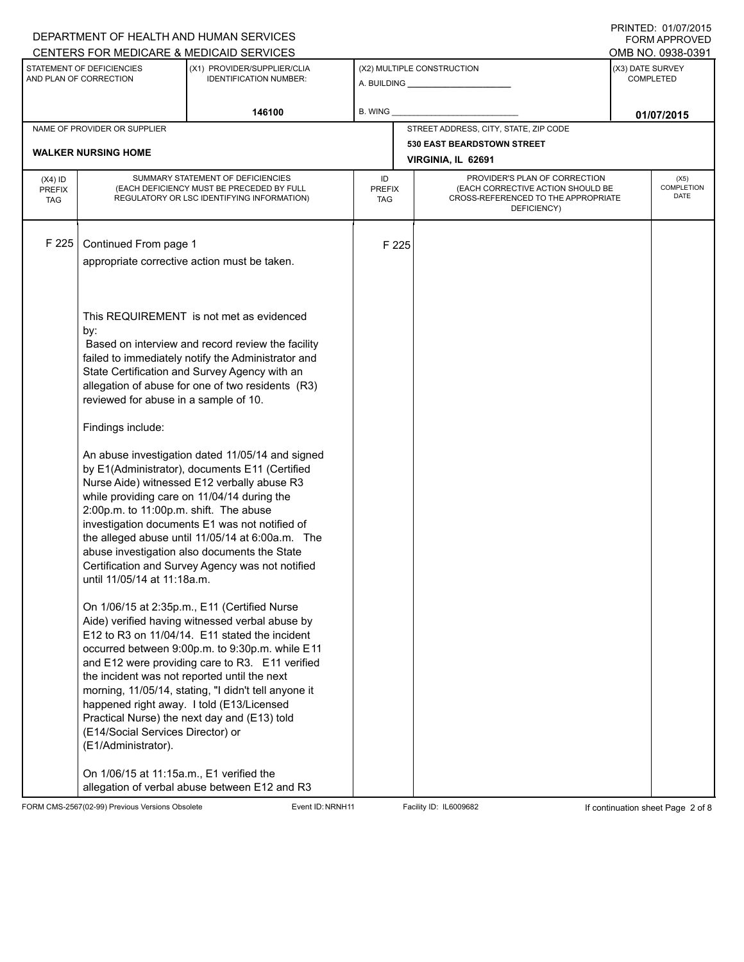|                                          |                                                                                                                                                      | DEPARTMENT OF HEALTH AND HUMAN SERVICES                                                                                                                                                                                                                                                                                                                                                                                                                       |                            |       |                                                                                                                          |                                      | FORM APPROVED                     |
|------------------------------------------|------------------------------------------------------------------------------------------------------------------------------------------------------|---------------------------------------------------------------------------------------------------------------------------------------------------------------------------------------------------------------------------------------------------------------------------------------------------------------------------------------------------------------------------------------------------------------------------------------------------------------|----------------------------|-------|--------------------------------------------------------------------------------------------------------------------------|--------------------------------------|-----------------------------------|
|                                          |                                                                                                                                                      | CENTERS FOR MEDICARE & MEDICAID SERVICES                                                                                                                                                                                                                                                                                                                                                                                                                      |                            |       |                                                                                                                          |                                      | OMB NO. 0938-0391                 |
|                                          | STATEMENT OF DEFICIENCIES<br>AND PLAN OF CORRECTION                                                                                                  | (X1) PROVIDER/SUPPLIER/CLIA<br><b>IDENTIFICATION NUMBER:</b>                                                                                                                                                                                                                                                                                                                                                                                                  |                            |       | (X2) MULTIPLE CONSTRUCTION                                                                                               | (X3) DATE SURVEY<br><b>COMPLETED</b> |                                   |
|                                          |                                                                                                                                                      | 146100                                                                                                                                                                                                                                                                                                                                                                                                                                                        | <b>B. WING</b>             |       |                                                                                                                          |                                      | 01/07/2015                        |
|                                          | NAME OF PROVIDER OR SUPPLIER                                                                                                                         |                                                                                                                                                                                                                                                                                                                                                                                                                                                               |                            |       | STREET ADDRESS, CITY, STATE, ZIP CODE                                                                                    |                                      |                                   |
|                                          | <b>WALKER NURSING HOME</b>                                                                                                                           |                                                                                                                                                                                                                                                                                                                                                                                                                                                               |                            |       | <b>530 EAST BEARDSTOWN STREET</b>                                                                                        |                                      |                                   |
|                                          |                                                                                                                                                      |                                                                                                                                                                                                                                                                                                                                                                                                                                                               |                            |       | VIRGINIA, IL 62691                                                                                                       |                                      |                                   |
| $(X4)$ ID<br><b>PREFIX</b><br><b>TAG</b> |                                                                                                                                                      | SUMMARY STATEMENT OF DEFICIENCIES<br>(EACH DEFICIENCY MUST BE PRECEDED BY FULL<br>REGULATORY OR LSC IDENTIFYING INFORMATION)                                                                                                                                                                                                                                                                                                                                  | ID<br><b>PREFIX</b><br>TAG |       | PROVIDER'S PLAN OF CORRECTION<br>(EACH CORRECTIVE ACTION SHOULD BE<br>CROSS-REFERENCED TO THE APPROPRIATE<br>DEFICIENCY) |                                      | (X5)<br><b>COMPLETION</b><br>DATE |
| F 225                                    | Continued From page 1                                                                                                                                | appropriate corrective action must be taken.                                                                                                                                                                                                                                                                                                                                                                                                                  |                            | F 225 |                                                                                                                          |                                      |                                   |
|                                          | by:<br>reviewed for abuse in a sample of 10.                                                                                                         | This REQUIREMENT is not met as evidenced<br>Based on interview and record review the facility<br>failed to immediately notify the Administrator and<br>State Certification and Survey Agency with an<br>allegation of abuse for one of two residents (R3)                                                                                                                                                                                                     |                            |       |                                                                                                                          |                                      |                                   |
|                                          | Findings include:                                                                                                                                    |                                                                                                                                                                                                                                                                                                                                                                                                                                                               |                            |       |                                                                                                                          |                                      |                                   |
|                                          | 2:00p.m. to 11:00p.m. shift. The abuse<br>until 11/05/14 at 11:18a.m.                                                                                | An abuse investigation dated 11/05/14 and signed<br>by E1(Administrator), documents E11 (Certified<br>Nurse Aide) witnessed E12 verbally abuse R3<br>while providing care on 11/04/14 during the<br>investigation documents E1 was not notified of<br>the alleged abuse until 11/05/14 at 6:00a.m. The<br>abuse investigation also documents the State<br>Certification and Survey Agency was not notified                                                    |                            |       |                                                                                                                          |                                      |                                   |
|                                          | the incident was not reported until the next<br>(E14/Social Services Director) or<br>(E1/Administrator).<br>On 1/06/15 at 11:15a.m., E1 verified the | On 1/06/15 at 2:35p.m., E11 (Certified Nurse<br>Aide) verified having witnessed verbal abuse by<br>E12 to R3 on 11/04/14. E11 stated the incident<br>occurred between 9:00p.m. to 9:30p.m. while E11<br>and E12 were providing care to R3. E11 verified<br>morning, 11/05/14, stating, "I didn't tell anyone it<br>happened right away. I told (E13/Licensed<br>Practical Nurse) the next day and (E13) told<br>allegation of verbal abuse between E12 and R3 |                            |       |                                                                                                                          |                                      |                                   |

FORM CMS-2567(02-99) Previous Versions Obsolete Event ID:NRNH11 Facility ID: IL6009682 If continuation sheet Page 2 of 8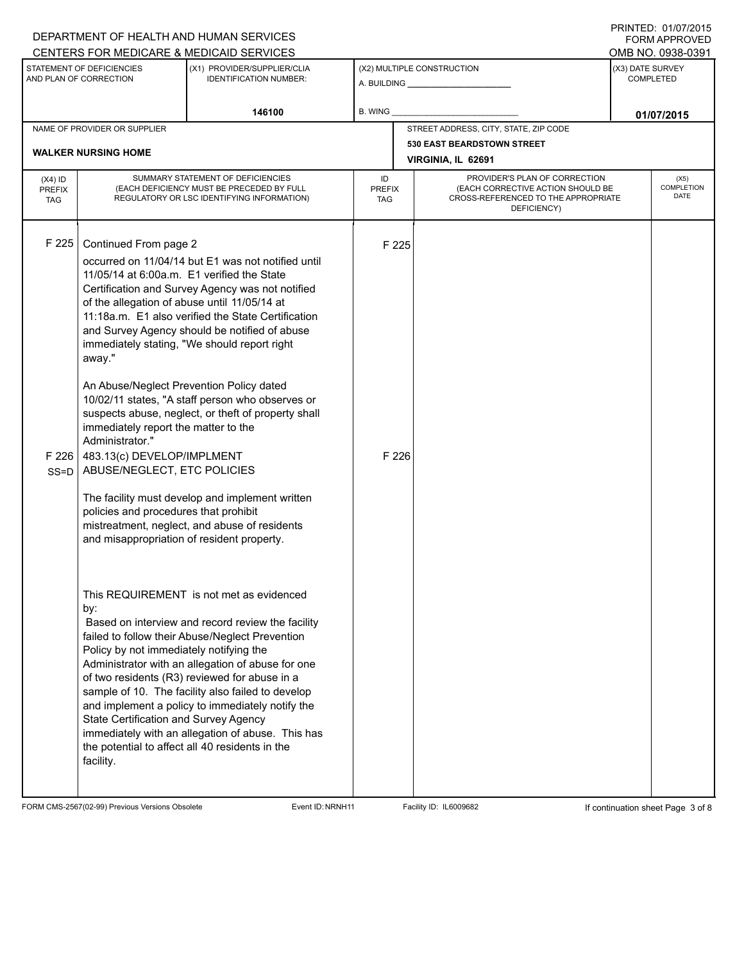|                                                                                                                                                   |                                                                                                                                                                                                                                                                                                                                                                                                                                                          | DEPARTMENT OF HEALTH AND HUMAN SERVICES                                                                                                                                                                                                                                                                                                                                                                                                                                                                                                                                                                                          |                                      |                |                                                                                                                          |  | I I III I LU. U IIU I LU I J<br>FORM APPROVED |
|---------------------------------------------------------------------------------------------------------------------------------------------------|----------------------------------------------------------------------------------------------------------------------------------------------------------------------------------------------------------------------------------------------------------------------------------------------------------------------------------------------------------------------------------------------------------------------------------------------------------|----------------------------------------------------------------------------------------------------------------------------------------------------------------------------------------------------------------------------------------------------------------------------------------------------------------------------------------------------------------------------------------------------------------------------------------------------------------------------------------------------------------------------------------------------------------------------------------------------------------------------------|--------------------------------------|----------------|--------------------------------------------------------------------------------------------------------------------------|--|-----------------------------------------------|
|                                                                                                                                                   |                                                                                                                                                                                                                                                                                                                                                                                                                                                          | CENTERS FOR MEDICARE & MEDICAID SERVICES                                                                                                                                                                                                                                                                                                                                                                                                                                                                                                                                                                                         |                                      |                |                                                                                                                          |  | OMB NO. 0938-0391                             |
| STATEMENT OF DEFICIENCIES<br>(X2) MULTIPLE CONSTRUCTION<br>(X1) PROVIDER/SUPPLIER/CLIA<br>AND PLAN OF CORRECTION<br><b>IDENTIFICATION NUMBER:</b> |                                                                                                                                                                                                                                                                                                                                                                                                                                                          |                                                                                                                                                                                                                                                                                                                                                                                                                                                                                                                                                                                                                                  | (X3) DATE SURVEY<br><b>COMPLETED</b> |                |                                                                                                                          |  |                                               |
|                                                                                                                                                   |                                                                                                                                                                                                                                                                                                                                                                                                                                                          | 146100                                                                                                                                                                                                                                                                                                                                                                                                                                                                                                                                                                                                                           | B. WING                              |                |                                                                                                                          |  | 01/07/2015                                    |
|                                                                                                                                                   | NAME OF PROVIDER OR SUPPLIER                                                                                                                                                                                                                                                                                                                                                                                                                             |                                                                                                                                                                                                                                                                                                                                                                                                                                                                                                                                                                                                                                  |                                      |                | STREET ADDRESS, CITY, STATE, ZIP CODE                                                                                    |  |                                               |
|                                                                                                                                                   | <b>WALKER NURSING HOME</b>                                                                                                                                                                                                                                                                                                                                                                                                                               |                                                                                                                                                                                                                                                                                                                                                                                                                                                                                                                                                                                                                                  |                                      |                | <b>530 EAST BEARDSTOWN STREET</b>                                                                                        |  |                                               |
|                                                                                                                                                   |                                                                                                                                                                                                                                                                                                                                                                                                                                                          |                                                                                                                                                                                                                                                                                                                                                                                                                                                                                                                                                                                                                                  |                                      |                | VIRGINIA, IL 62691                                                                                                       |  |                                               |
| $(X4)$ ID<br><b>PREFIX</b><br><b>TAG</b>                                                                                                          |                                                                                                                                                                                                                                                                                                                                                                                                                                                          | SUMMARY STATEMENT OF DEFICIENCIES<br>(EACH DEFICIENCY MUST BE PRECEDED BY FULL<br>REGULATORY OR LSC IDENTIFYING INFORMATION)                                                                                                                                                                                                                                                                                                                                                                                                                                                                                                     | ID<br><b>PREFIX</b><br>TAG           |                | PROVIDER'S PLAN OF CORRECTION<br>(EACH CORRECTIVE ACTION SHOULD BE<br>CROSS-REFERENCED TO THE APPROPRIATE<br>DEFICIENCY) |  | (X5)<br><b>COMPLETION</b><br>DATE             |
| F 225<br>SS=D                                                                                                                                     | Continued From page 2<br>11/05/14 at 6:00a.m. E1 verified the State<br>of the allegation of abuse until 11/05/14 at<br>away."<br>An Abuse/Neglect Prevention Policy dated<br>immediately report the matter to the<br>Administrator."<br>F 226 $\vert$ 483.13(c) DEVELOP/IMPLMENT<br>ABUSE/NEGLECT, ETC POLICIES<br>policies and procedures that prohibit<br>and misappropriation of resident property.<br>by:<br>Policy by not immediately notifying the | occurred on 11/04/14 but E1 was not notified until<br>Certification and Survey Agency was not notified<br>11:18a.m. E1 also verified the State Certification<br>and Survey Agency should be notified of abuse<br>immediately stating, "We should report right<br>10/02/11 states, "A staff person who observes or<br>suspects abuse, neglect, or theft of property shall<br>The facility must develop and implement written<br>mistreatment, neglect, and abuse of residents<br>This REQUIREMENT is not met as evidenced<br>Based on interview and record review the facility<br>failed to follow their Abuse/Neglect Prevention |                                      | F 225<br>F 226 |                                                                                                                          |  |                                               |
|                                                                                                                                                   | State Certification and Survey Agency<br>the potential to affect all 40 residents in the<br>facility.                                                                                                                                                                                                                                                                                                                                                    | Administrator with an allegation of abuse for one<br>of two residents (R3) reviewed for abuse in a<br>sample of 10. The facility also failed to develop<br>and implement a policy to immediately notify the<br>immediately with an allegation of abuse. This has                                                                                                                                                                                                                                                                                                                                                                 |                                      |                |                                                                                                                          |  |                                               |

FORM CMS-2567(02-99) Previous Versions Obsolete Event ID:NRNH11 Facility ID: IL6009682 If continuation sheet Page 3 of 8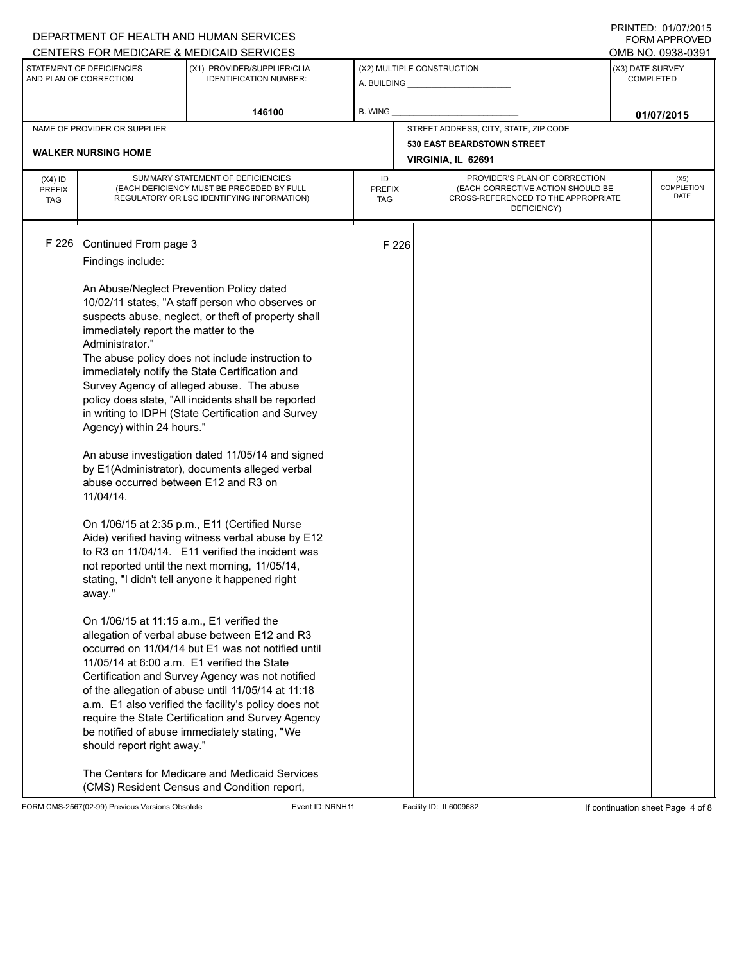## A. BUILDING **\_\_\_\_\_\_\_\_\_\_\_\_\_\_\_\_\_\_\_\_\_\_** (X1) PROVIDER/SUPPLIER/CLIA IDENTIFICATION NUMBER: STATEMENT OF DEFICIENCIES AND PLAN OF CORRECTION (X3) DATE SURVEY COMPLETED FORM APPROVED (X2) MULTIPLE CONSTRUCTION **B. WING** CENTERS FOR MEDICARE & MEDICAID SERVICES **And CENTERS FOR MEDICAL ACCESS** OMB NO. 0938-0391 **146100 B. WING D. CONSUMING D. CONSUMING D. CONSUMING D. CONSUMING D. CONSUMING D. CONSUMING D. CONSUMING** NAME OF PROVIDER OR SUPPLIER STREET ADDRESS, CITY, STATE, ZIP CODE **530 EAST BEARDSTOWN STREET WALKER NURSING HOME VIRGINIA, IL 62691** PROVIDER'S PLAN OF CORRECTION (EACH CORRECTIVE ACTION SHOULD BE CROSS-REFERENCED TO THE APPROPRIATE DEFICIENCY) (X5) **COMPLETION** DATE ID PREFIX TAG (X4) ID PREFIX TAG SUMMARY STATEMENT OF DEFICIENCIES (EACH DEFICIENCY MUST BE PRECEDED BY FULL REGULATORY OR LSC IDENTIFYING INFORMATION) F 226 Continued From page 3 F 226 Findings include: An Abuse/Neglect Prevention Policy dated 10/02/11 states, "A staff person who observes or suspects abuse, neglect, or theft of property shall immediately report the matter to the Administrator." The abuse policy does not include instruction to immediately notify the State Certification and Survey Agency of alleged abuse. The abuse policy does state, "All incidents shall be reported in writing to IDPH (State Certification and Survey Agency) within 24 hours." An abuse investigation dated 11/05/14 and signed by E1(Administrator), documents alleged verbal abuse occurred between E12 and R3 on 11/04/14. On 1/06/15 at 2:35 p.m., E11 (Certified Nurse Aide) verified having witness verbal abuse by E12 to R3 on 11/04/14. E11 verified the incident was not reported until the next morning, 11/05/14, stating, "I didn't tell anyone it happened right away." On 1/06/15 at 11:15 a.m., E1 verified the allegation of verbal abuse between E12 and R3 occurred on 11/04/14 but E1 was not notified until 11/05/14 at 6:00 a.m. E1 verified the State Certification and Survey Agency was not notified of the allegation of abuse until 11/05/14 at 11:18 a.m. E1 also verified the facility's policy does not require the State Certification and Survey Agency be notified of abuse immediately stating, "We should report right away." The Centers for Medicare and Medicaid Services (CMS) Resident Census and Condition report,

FORM CMS-2567(02-99) Previous Versions Obsolete **Example 2000 Exert ID:NRNH11** Facility ID: IL6009682 **If continuation sheet Page 4 of 8** 

DEPARTMENT OF HEALTH AND HUMAN SERVICES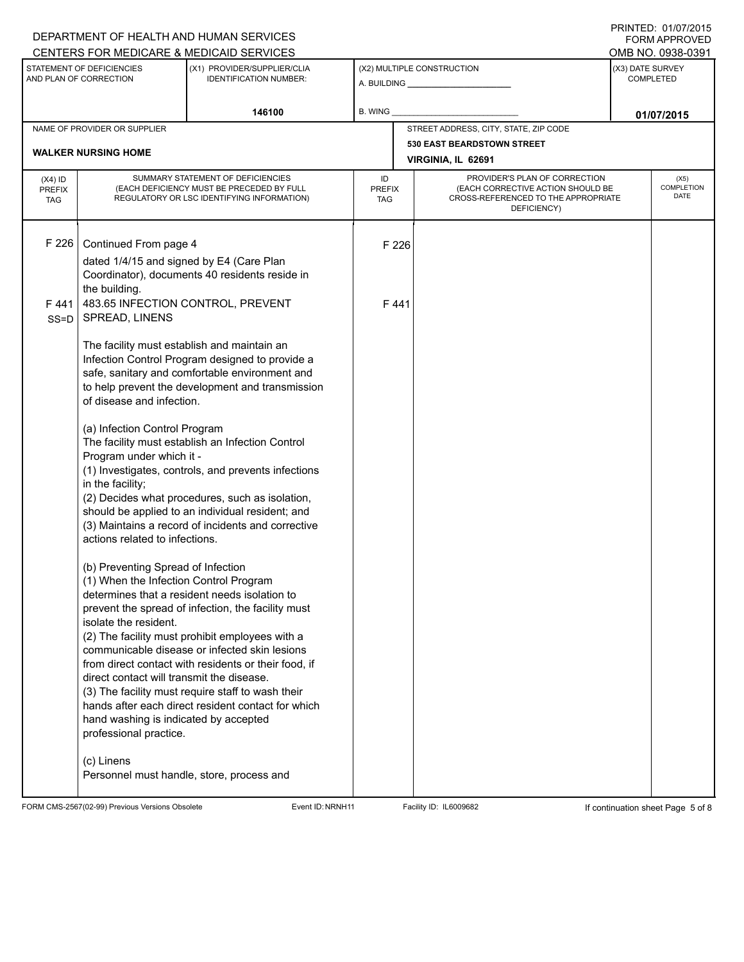## A. BUILDING **\_\_\_\_\_\_\_\_\_\_\_\_\_\_\_\_\_\_\_\_\_\_** (X1) PROVIDER/SUPPLIER/CLIA IDENTIFICATION NUMBER: STATEMENT OF DEFICIENCIES AND PLAN OF CORRECTION (X3) DATE SURVEY COMPLETED FORM APPROVED (X2) MULTIPLE CONSTRUCTION **B. WING** CENTERS FOR MEDICARE & MEDICAID SERVICES **And CENTERS FOR MEDICAL ACCESS** OMB NO. 0938-0391 **146100 B. WING D. CONSUMING D. CONSUMING D. CONSUMING D. CONSUMING D. CONSUMING D. CONSUMING D. CONSUMING** NAME OF PROVIDER OR SUPPLIER STREET ADDRESS, CITY, STATE, ZIP CODE **530 EAST BEARDSTOWN STREET WALKER NURSING HOME VIRGINIA, IL 62691** PROVIDER'S PLAN OF CORRECTION (EACH CORRECTIVE ACTION SHOULD BE CROSS-REFERENCED TO THE APPROPRIATE DEFICIENCY) (X5) **COMPLETION** DATE ID PREFIX TAG (X4) ID PREFIX TAG SUMMARY STATEMENT OF DEFICIENCIES (EACH DEFICIENCY MUST BE PRECEDED BY FULL REGULATORY OR LSC IDENTIFYING INFORMATION) F 226 Continued From page 4 F 226 dated 1/4/15 and signed by E4 (Care Plan Coordinator), documents 40 residents reside in the building. F 441 SS=D 483.65 INFECTION CONTROL, PREVENT SPREAD, LINENS The facility must establish and maintain an Infection Control Program designed to provide a safe, sanitary and comfortable environment and to help prevent the development and transmission of disease and infection. (a) Infection Control Program The facility must establish an Infection Control Program under which it - (1) Investigates, controls, and prevents infections in the facility; (2) Decides what procedures, such as isolation, should be applied to an individual resident; and (3) Maintains a record of incidents and corrective actions related to infections. (b) Preventing Spread of Infection (1) When the Infection Control Program determines that a resident needs isolation to prevent the spread of infection, the facility must isolate the resident. (2) The facility must prohibit employees with a communicable disease or infected skin lesions from direct contact with residents or their food, if direct contact will transmit the disease. (3) The facility must require staff to wash their hands after each direct resident contact for which hand washing is indicated by accepted professional practice. (c) Linens Personnel must handle, store, process and F 441

FORM CMS-2567(02-99) Previous Versions Obsolete Exert ID:NRNH11 Facility ID: IL6009682 If continuation sheet Page 5 of 8

DEPARTMENT OF HEALTH AND HUMAN SERVICES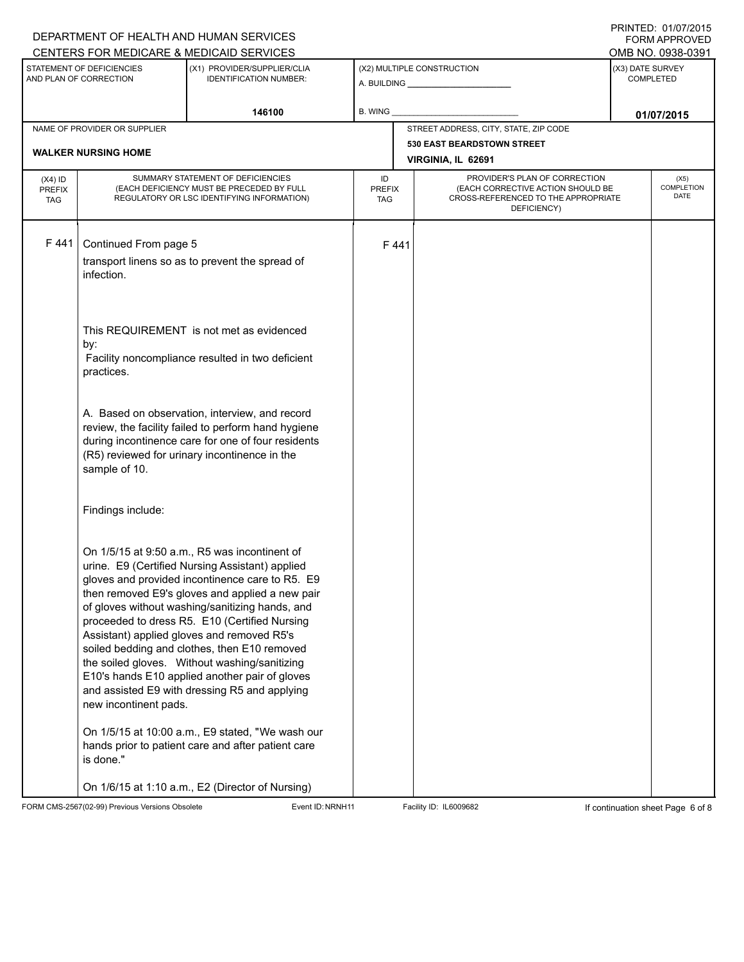|                                          |                                                     | DEPARTMENT OF HEALTH AND HUMAN SERVICES                                                                                                                                                                                                                                                                                                                                                                                                                                                                                                                      |                            |                                                                                                                          |                                       |                                      | FORM APPROVED                     |  |
|------------------------------------------|-----------------------------------------------------|--------------------------------------------------------------------------------------------------------------------------------------------------------------------------------------------------------------------------------------------------------------------------------------------------------------------------------------------------------------------------------------------------------------------------------------------------------------------------------------------------------------------------------------------------------------|----------------------------|--------------------------------------------------------------------------------------------------------------------------|---------------------------------------|--------------------------------------|-----------------------------------|--|
|                                          |                                                     | CENTERS FOR MEDICARE & MEDICAID SERVICES                                                                                                                                                                                                                                                                                                                                                                                                                                                                                                                     |                            |                                                                                                                          |                                       |                                      | OMB NO. 0938-0391                 |  |
|                                          | STATEMENT OF DEFICIENCIES<br>AND PLAN OF CORRECTION | (X1) PROVIDER/SUPPLIER/CLIA<br><b>IDENTIFICATION NUMBER:</b>                                                                                                                                                                                                                                                                                                                                                                                                                                                                                                 | (X2) MULTIPLE CONSTRUCTION |                                                                                                                          |                                       | (X3) DATE SURVEY<br><b>COMPLETED</b> |                                   |  |
|                                          |                                                     | 146100                                                                                                                                                                                                                                                                                                                                                                                                                                                                                                                                                       | <b>B. WING</b>             |                                                                                                                          |                                       | 01/07/2015                           |                                   |  |
|                                          | NAME OF PROVIDER OR SUPPLIER                        |                                                                                                                                                                                                                                                                                                                                                                                                                                                                                                                                                              |                            |                                                                                                                          | STREET ADDRESS, CITY, STATE, ZIP CODE |                                      |                                   |  |
|                                          |                                                     |                                                                                                                                                                                                                                                                                                                                                                                                                                                                                                                                                              |                            | <b>530 EAST BEARDSTOWN STREET</b>                                                                                        |                                       |                                      |                                   |  |
|                                          | <b>WALKER NURSING HOME</b><br>VIRGINIA, IL 62691    |                                                                                                                                                                                                                                                                                                                                                                                                                                                                                                                                                              |                            |                                                                                                                          |                                       |                                      |                                   |  |
| $(X4)$ ID<br><b>PREFIX</b><br><b>TAG</b> |                                                     | SUMMARY STATEMENT OF DEFICIENCIES<br>(EACH DEFICIENCY MUST BE PRECEDED BY FULL<br>REGULATORY OR LSC IDENTIFYING INFORMATION)                                                                                                                                                                                                                                                                                                                                                                                                                                 | ID<br><b>PREFIX</b><br>TAG | PROVIDER'S PLAN OF CORRECTION<br>(EACH CORRECTIVE ACTION SHOULD BE<br>CROSS-REFERENCED TO THE APPROPRIATE<br>DEFICIENCY) |                                       |                                      | (X5)<br><b>COMPLETION</b><br>DATE |  |
| F441                                     | Continued From page 5<br>infection.                 | transport linens so as to prevent the spread of                                                                                                                                                                                                                                                                                                                                                                                                                                                                                                              |                            | F441                                                                                                                     |                                       |                                      |                                   |  |
|                                          | by:<br>practices.                                   | This REQUIREMENT is not met as evidenced<br>Facility noncompliance resulted in two deficient                                                                                                                                                                                                                                                                                                                                                                                                                                                                 |                            |                                                                                                                          |                                       |                                      |                                   |  |
|                                          | sample of 10.                                       | A. Based on observation, interview, and record<br>review, the facility failed to perform hand hygiene<br>during incontinence care for one of four residents<br>(R5) reviewed for urinary incontinence in the                                                                                                                                                                                                                                                                                                                                                 |                            |                                                                                                                          |                                       |                                      |                                   |  |
|                                          | Findings include:                                   |                                                                                                                                                                                                                                                                                                                                                                                                                                                                                                                                                              |                            |                                                                                                                          |                                       |                                      |                                   |  |
|                                          | new incontinent pads.                               | On 1/5/15 at 9:50 a.m., R5 was incontinent of<br>urine. E9 (Certified Nursing Assistant) applied<br>gloves and provided incontinence care to R5. E9<br>then removed E9's gloves and applied a new pair<br>of gloves without washing/sanitizing hands, and<br>proceeded to dress R5. E10 (Certified Nursing<br>Assistant) applied gloves and removed R5's<br>soiled bedding and clothes, then E10 removed<br>the soiled gloves. Without washing/sanitizing<br>E10's hands E10 applied another pair of gloves<br>and assisted E9 with dressing R5 and applying |                            |                                                                                                                          |                                       |                                      |                                   |  |
|                                          | is done."                                           | On 1/5/15 at 10:00 a.m., E9 stated, "We wash our<br>hands prior to patient care and after patient care                                                                                                                                                                                                                                                                                                                                                                                                                                                       |                            |                                                                                                                          |                                       |                                      |                                   |  |
|                                          |                                                     | On 1/6/15 at 1:10 a.m., E2 (Director of Nursing)                                                                                                                                                                                                                                                                                                                                                                                                                                                                                                             |                            |                                                                                                                          |                                       |                                      |                                   |  |

FORM CMS-2567(02-99) Previous Versions Obsolete Event ID:NRNH11 Facility ID: IL6009682 If continuation sheet Page 6 of 8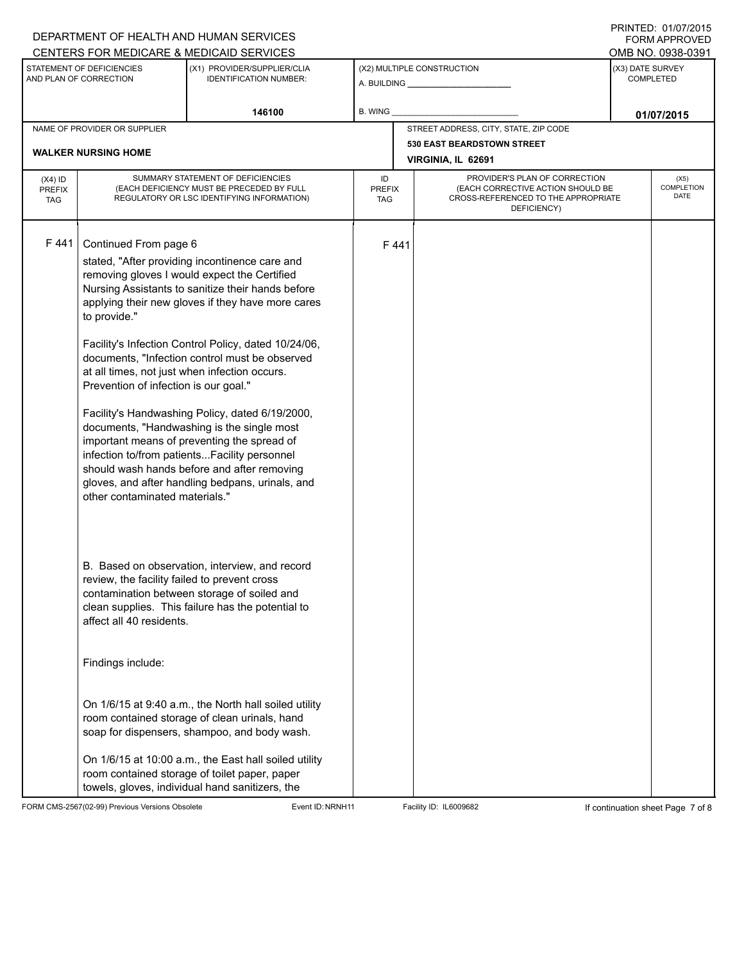|                                          |                                                                                                                                                                   | DEPARTMENT OF HEALTH AND HUMAN SERVICES                                                                                                                                                                                                                                                                                                                                                                                                                                                                                                                                                                               |                            |      |                                                                                                                          |                  | FORM APPROVED                     |  |
|------------------------------------------|-------------------------------------------------------------------------------------------------------------------------------------------------------------------|-----------------------------------------------------------------------------------------------------------------------------------------------------------------------------------------------------------------------------------------------------------------------------------------------------------------------------------------------------------------------------------------------------------------------------------------------------------------------------------------------------------------------------------------------------------------------------------------------------------------------|----------------------------|------|--------------------------------------------------------------------------------------------------------------------------|------------------|-----------------------------------|--|
|                                          |                                                                                                                                                                   | CENTERS FOR MEDICARE & MEDICAID SERVICES                                                                                                                                                                                                                                                                                                                                                                                                                                                                                                                                                                              |                            |      |                                                                                                                          |                  | OMB NO. 0938-0391                 |  |
|                                          | STATEMENT OF DEFICIENCIES<br>AND PLAN OF CORRECTION                                                                                                               | (X1) PROVIDER/SUPPLIER/CLIA<br><b>IDENTIFICATION NUMBER:</b>                                                                                                                                                                                                                                                                                                                                                                                                                                                                                                                                                          |                            |      | (X2) MULTIPLE CONSTRUCTION                                                                                               | (X3) DATE SURVEY | <b>COMPLETED</b>                  |  |
|                                          |                                                                                                                                                                   | 146100                                                                                                                                                                                                                                                                                                                                                                                                                                                                                                                                                                                                                | B. WING                    |      |                                                                                                                          |                  | 01/07/2015                        |  |
|                                          | NAME OF PROVIDER OR SUPPLIER                                                                                                                                      |                                                                                                                                                                                                                                                                                                                                                                                                                                                                                                                                                                                                                       |                            |      | STREET ADDRESS, CITY, STATE, ZIP CODE                                                                                    |                  |                                   |  |
|                                          | <b>WALKER NURSING HOME</b>                                                                                                                                        |                                                                                                                                                                                                                                                                                                                                                                                                                                                                                                                                                                                                                       |                            |      | <b>530 EAST BEARDSTOWN STREET</b>                                                                                        |                  |                                   |  |
|                                          |                                                                                                                                                                   |                                                                                                                                                                                                                                                                                                                                                                                                                                                                                                                                                                                                                       |                            |      | VIRGINIA, IL 62691                                                                                                       |                  |                                   |  |
| $(X4)$ ID<br><b>PREFIX</b><br><b>TAG</b> |                                                                                                                                                                   | SUMMARY STATEMENT OF DEFICIENCIES<br>(EACH DEFICIENCY MUST BE PRECEDED BY FULL<br>REGULATORY OR LSC IDENTIFYING INFORMATION)                                                                                                                                                                                                                                                                                                                                                                                                                                                                                          | ID<br><b>PREFIX</b><br>TAG |      | PROVIDER'S PLAN OF CORRECTION<br>(EACH CORRECTIVE ACTION SHOULD BE<br>CROSS-REFERENCED TO THE APPROPRIATE<br>DEFICIENCY) |                  | (X5)<br><b>COMPLETION</b><br>DATE |  |
| F 441                                    | Continued From page 6<br>to provide."<br>at all times, not just when infection occurs.<br>Prevention of infection is our goal."<br>other contaminated materials." | stated, "After providing incontinence care and<br>removing gloves I would expect the Certified<br>Nursing Assistants to sanitize their hands before<br>applying their new gloves if they have more cares<br>Facility's Infection Control Policy, dated 10/24/06,<br>documents, "Infection control must be observed<br>Facility's Handwashing Policy, dated 6/19/2000,<br>documents, "Handwashing is the single most<br>important means of preventing the spread of<br>infection to/from patientsFacility personnel<br>should wash hands before and after removing<br>gloves, and after handling bedpans, urinals, and |                            | F441 |                                                                                                                          |                  |                                   |  |
|                                          | review, the facility failed to prevent cross<br>affect all 40 residents.<br>Findings include:                                                                     | B. Based on observation, interview, and record<br>contamination between storage of soiled and<br>clean supplies. This failure has the potential to<br>On 1/6/15 at 9:40 a.m., the North hall soiled utility<br>room contained storage of clean urinals, hand<br>soap for dispensers, shampoo, and body wash.                                                                                                                                                                                                                                                                                                          |                            |      |                                                                                                                          |                  |                                   |  |
|                                          |                                                                                                                                                                   | On 1/6/15 at 10:00 a.m., the East hall soiled utility<br>room contained storage of toilet paper, paper<br>towels, gloves, individual hand sanitizers, the                                                                                                                                                                                                                                                                                                                                                                                                                                                             |                            |      |                                                                                                                          |                  |                                   |  |

FORM CMS-2567(02-99) Previous Versions Obsolete Event ID:NRNH11 Facility ID: IL6009682 If continuation sheet Page 7 of 8